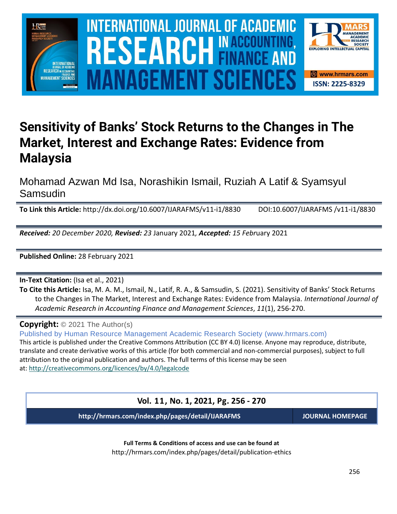

# $\blacksquare$  INTERNATIONAL JOURNAL OF ACADEMIC RESEARCH IN ACCOUNTING, FINANCE AND  $\blacksquare$ SOURCE NEWSLET AND RELEASE OF THE SCIENCE OF THE SCIENCE OF THE SCIENCE OF THE SCIENCE OF THE SCIENCE OF THE SCIENCE **Vol. 1 1 , No. 1, 2021, E-ISSN: 2225-8329 © 2021 HRMARS ANAGEMENT SCIE**



# **Sensitivity of Banks' Stock Returns to the Changes in The Market, Interest and Exchange Rates: Evidence from Malaysia**

Mohamad Azwan Md Isa, Norashikin Ismail, Ruziah A Latif & Syamsyul Samsudin

**To Link this Article:** http://dx.doi.org/10.6007/IJARAFMS/v11-i1/8830 DOI:10.6007/IJARAFMS /v11-i1/8830

*Received: 20 December 2020, Revised: 23* January 2021*, Accepted: 15 Febr*uary 2021

**Published Online:** 28 February 2021

**In-Text Citation:** (Isa et al., 2021)

**To Cite this Article:** Isa, M. A. M., Ismail, N., Latif, R. A., & Samsudin, S. (2021). Sensitivity of Banks' Stock Returns to the Changes in The Market, Interest and Exchange Rates: Evidence from Malaysia. *International Journal of Academic Research in Accounting Finance and Management Sciences*, *11*(1), 256-270.

**Copyright:** © 2021 The Author(s)

Published by Human Resource Management Academic Research Society (www.hrmars.com) This article is published under the Creative Commons Attribution (CC BY 4.0) license. Anyone may reproduce, distribute, translate and create derivative works of this article (for both commercial and non-commercial purposes), subject to full attribution to the original publication and authors. The full terms of this license may be seen at: <http://creativecommons.org/licences/by/4.0/legalcode>

**Vol. 11, No. 1, 2021, Pg. 256 - 270**

**http://hrmars.com/index.php/pages/detail/IJARAFMS JOURNAL HOMEPAGE**

**Full Terms & Conditions of access and use can be found at** http://hrmars.com/index.php/pages/detail/publication-ethics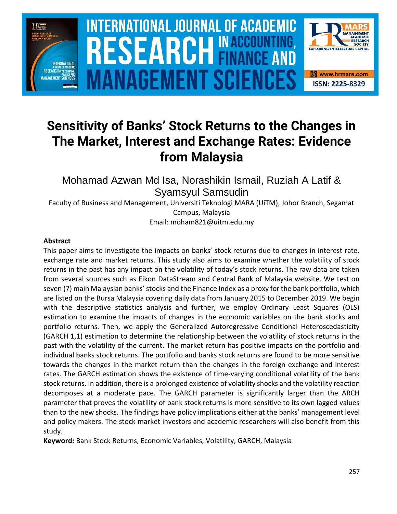

# **INTERNATIONAL JOURNAL OF ACADEMIC** SOURCE NEWSLET AND RELEASE OF THE SCIENCE OF THE SCIENCE OF THE SCIENCE OF THE SCIENCE OF THE SCIENCE OF THE SCIENCE **Vol. 1 1 , No. 1, 2021, E-ISSN: 2225-8329 © 2021 HRMARS ANAGEMENT SCIEN**



# **Sensitivity of Banks' Stock Returns to the Changes in The Market, Interest and Exchange Rates: Evidence from Malaysia**

Mohamad Azwan Md Isa, Norashikin Ismail, Ruziah A Latif & Syamsyul Samsudin

Faculty of Business and Management, Universiti Teknologi MARA (UiTM), Johor Branch, Segamat Campus, Malaysia

Email: moham821@uitm.edu.my

# **Abstract**

This paper aims to investigate the impacts on banks' stock returns due to changes in interest rate, exchange rate and market returns. This study also aims to examine whether the volatility of stock returns in the past has any impact on the volatility of today's stock returns. The raw data are taken from several sources such as Eikon DataStream and Central Bank of Malaysia website. We test on seven (7) main Malaysian banks' stocks and the Finance Index as a proxy for the bank portfolio, which are listed on the Bursa Malaysia covering daily data from January 2015 to December 2019. We begin with the descriptive statistics analysis and further, we employ Ordinary Least Squares (OLS) estimation to examine the impacts of changes in the economic variables on the bank stocks and portfolio returns. Then, we apply the Generalized Autoregressive Conditional Heteroscedasticity (GARCH 1,1) estimation to determine the relationship between the volatility of stock returns in the past with the volatility of the current. The market return has positive impacts on the portfolio and individual banks stock returns. The portfolio and banks stock returns are found to be more sensitive towards the changes in the market return than the changes in the foreign exchange and interest rates. The GARCH estimation shows the existence of time-varying conditional volatility of the bank stock returns. In addition, there is a prolonged existence of volatility shocks and the volatility reaction decomposes at a moderate pace. The GARCH parameter is significantly larger than the ARCH parameter that proves the volatility of bank stock returns is more sensitive to its own lagged values than to the new shocks. The findings have policy implications either at the banks' management level and policy makers. The stock market investors and academic researchers will also benefit from this study.

**Keyword:** Bank Stock Returns, Economic Variables, Volatility, GARCH, Malaysia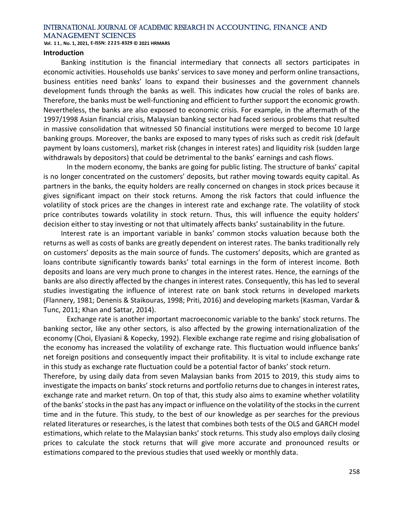**Vol. 1 1 , No. 1, 2021, E-ISSN: 2225-8329 © 2021 HRMARS**

#### **Introduction**

Banking institution is the financial intermediary that connects all sectors participates in economic activities. Households use banks' services to save money and perform online transactions, business entities need banks' loans to expand their businesses and the government channels development funds through the banks as well. This indicates how crucial the roles of banks are. Therefore, the banks must be well-functioning and efficient to further support the economic growth. Nevertheless, the banks are also exposed to economic crisis. For example, in the aftermath of the 1997/1998 Asian financial crisis, Malaysian banking sector had faced serious problems that resulted in massive consolidation that witnessed 50 financial institutions were merged to become 10 large banking groups. Moreover, the banks are exposed to many types of risks such as credit risk (default payment by loans customers), market risk (changes in interest rates) and liquidity risk (sudden large withdrawals by depositors) that could be detrimental to the banks' earnings and cash flows.

In the modern economy, the banks are going for public listing. The structure of banks' capital is no longer concentrated on the customers' deposits, but rather moving towards equity capital. As partners in the banks, the equity holders are really concerned on changes in stock prices because it gives significant impact on their stock returns. Among the risk factors that could influence the volatility of stock prices are the changes in interest rate and exchange rate. The volatility of stock price contributes towards volatility in stock return. Thus, this will influence the equity holders' decision either to stay investing or not that ultimately affects banks' sustainability in the future.

Interest rate is an important variable in banks' common stocks valuation because both the returns as well as costs of banks are greatly dependent on interest rates. The banks traditionally rely on customers' deposits as the main source of funds. The customers' deposits, which are granted as loans contribute significantly towards banks' total earnings in the form of interest income. Both deposits and loans are very much prone to changes in the interest rates. Hence, the earnings of the banks are also directly affected by the changes in interest rates. Consequently, this has led to several studies investigating the influence of interest rate on bank stock returns in developed markets (Flannery, 1981; Denenis & Staikouras, 1998; Priti, 2016) and developing markets (Kasman, Vardar & Tunc, 2011; Khan and Sattar, 2014).

Exchange rate is another important macroeconomic variable to the banks' stock returns. The banking sector, like any other sectors, is also affected by the growing internationalization of the economy (Choi, Elyasiani & Kopecky, 1992). Flexible exchange rate regime and rising globalisation of the economy has increased the volatility of exchange rate. This fluctuation would influence banks' net foreign positions and consequently impact their profitability. It is vital to include exchange rate in this study as exchange rate fluctuation could be a potential factor of banks' stock return.

Therefore, by using daily data from seven Malaysian banks from 2015 to 2019, this study aims to investigate the impacts on banks' stock returns and portfolio returns due to changes in interest rates, exchange rate and market return. On top of that, this study also aims to examine whether volatility of the banks' stocks in the past has any impact or influence on the volatility of the stocks in the current time and in the future. This study, to the best of our knowledge as per searches for the previous related literatures or researches, is the latest that combines both tests of the OLS and GARCH model estimations, which relate to the Malaysian banks' stock returns. This study also employs daily closing prices to calculate the stock returns that will give more accurate and pronounced results or estimations compared to the previous studies that used weekly or monthly data.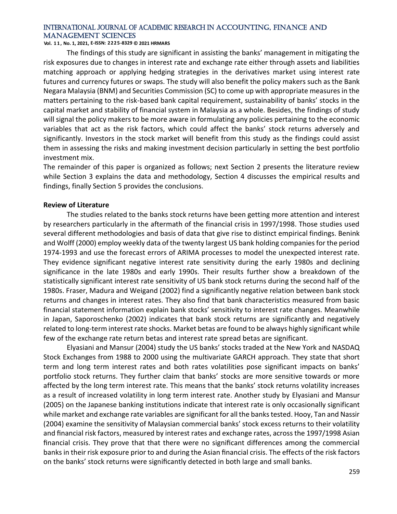#### **Vol. 1 1 , No. 1, 2021, E-ISSN: 2225-8329 © 2021 HRMARS**

The findings of this study are significant in assisting the banks' management in mitigating the risk exposures due to changes in interest rate and exchange rate either through assets and liabilities matching approach or applying hedging strategies in the derivatives market using interest rate futures and currency futures or swaps. The study will also benefit the policy makers such as the Bank Negara Malaysia (BNM) and Securities Commission (SC) to come up with appropriate measures in the matters pertaining to the risk-based bank capital requirement, sustainability of banks' stocks in the capital market and stability of financial system in Malaysia as a whole. Besides, the findings of study will signal the policy makers to be more aware in formulating any policies pertaining to the economic variables that act as the risk factors, which could affect the banks' stock returns adversely and significantly. Investors in the stock market will benefit from this study as the findings could assist them in assessing the risks and making investment decision particularly in setting the best portfolio investment mix.

The remainder of this paper is organized as follows; next Section 2 presents the literature review while Section 3 explains the data and methodology, Section 4 discusses the empirical results and findings, finally Section 5 provides the conclusions.

#### **Review of Literature**

The studies related to the banks stock returns have been getting more attention and interest by researchers particularly in the aftermath of the financial crisis in 1997/1998. Those studies used several different methodologies and basis of data that give rise to distinct empirical findings. Benink and Wolff (2000) employ weekly data of the twenty largest US bank holding companies for the period 1974-1993 and use the forecast errors of ARIMA processes to model the unexpected interest rate. They evidence significant negative interest rate sensitivity during the early 1980s and declining significance in the late 1980s and early 1990s. Their results further show a breakdown of the statistically significant interest rate sensitivity of US bank stock returns during the second half of the 1980s. Fraser, Madura and Weigand (2002) find a significantly negative relation between bank stock returns and changes in interest rates. They also find that bank characteristics measured from basic financial statement information explain bank stocks' sensitivity to interest rate changes. Meanwhile in Japan, Saporoschenko (2002) indicates that bank stock returns are significantly and negatively related to long-term interest rate shocks. Market betas are found to be always highly significant while few of the exchange rate return betas and interest rate spread betas are significant.

Elyasiani and Mansur (2004) study the US banks' stocks traded at the New York and NASDAQ Stock Exchanges from 1988 to 2000 using the multivariate GARCH approach. They state that short term and long term interest rates and both rates volatilities pose significant impacts on banks' portfolio stock returns. They further claim that banks' stocks are more sensitive towards or more affected by the long term interest rate. This means that the banks' stock returns volatility increases as a result of increased volatility in long term interest rate. Another study by Elyasiani and Mansur (2005) on the Japanese banking institutions indicate that interest rate is only occasionally significant while market and exchange rate variables are significant for all the banks tested. Hooy, Tan and Nassir (2004) examine the sensitivity of Malaysian commercial banks' stock excess returns to their volatility and financial risk factors, measured by interest rates and exchange rates, across the 1997/1998 Asian financial crisis. They prove that that there were no significant differences among the commercial banks in their risk exposure prior to and during the Asian financial crisis. The effects of the risk factors on the banks' stock returns were significantly detected in both large and small banks.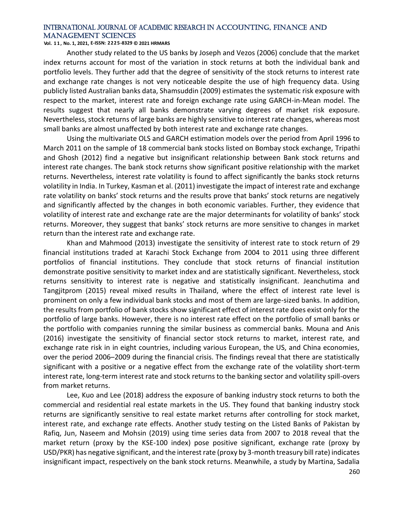**Vol. 1 1 , No. 1, 2021, E-ISSN: 2225-8329 © 2021 HRMARS**

Another study related to the US banks by Joseph and Vezos (2006) conclude that the market index returns account for most of the variation in stock returns at both the individual bank and portfolio levels. They further add that the degree of sensitivity of the stock returns to interest rate and exchange rate changes is not very noticeable despite the use of high frequency data. Using publicly listed Australian banks data, Shamsuddin (2009) estimates the systematic risk exposure with respect to the market, interest rate and foreign exchange rate using GARCH-in-Mean model. The results suggest that nearly all banks demonstrate varying degrees of market risk exposure. Nevertheless, stock returns of large banks are highly sensitive to interest rate changes, whereas most small banks are almost unaffected by both interest rate and exchange rate changes.

Using the multivariate OLS and GARCH estimation models over the period from April 1996 to March 2011 on the sample of 18 commercial bank stocks listed on Bombay stock exchange, Tripathi and Ghosh (2012) find a negative but insignificant relationship between Bank stock returns and interest rate changes. The bank stock returns show significant positive relationship with the market returns. Nevertheless, interest rate volatility is found to affect significantly the banks stock returns volatility in India. In Turkey, Kasman et al. (2011) investigate the impact of interest rate and exchange rate volatility on banks' stock returns and the results prove that banks' stock returns are negatively and significantly affected by the changes in both economic variables. Further, they evidence that volatility of interest rate and exchange rate are the major determinants for volatility of banks' stock returns. Moreover, they suggest that banks' stock returns are more sensitive to changes in market return than the interest rate and exchange rate.

Khan and Mahmood (2013) investigate the sensitivity of interest rate to stock return of 29 financial institutions traded at Karachi Stock Exchange from 2004 to 2011 using three different portfolios of financial institutions. They conclude that stock returns of financial institution demonstrate positive sensitivity to market index and are statistically significant. Nevertheless, stock returns sensitivity to interest rate is negative and statistically insignificant. Jeanchutima and Tangjitprom (2015) reveal mixed results in Thailand, where the effect of interest rate level is prominent on only a few individual bank stocks and most of them are large-sized banks. In addition, the results from portfolio of bank stocks show significant effect of interest rate does exist only for the portfolio of large banks. However, there is no interest rate effect on the portfolio of small banks or the portfolio with companies running the similar business as commercial banks. Mouna and Anis (2016) investigate the sensitivity of financial sector stock returns to market, interest rate, and exchange rate risk in in eight countries, including various European, the US, and China economies, over the period 2006–2009 during the financial crisis. The findings reveal that there are statistically significant with a positive or a negative effect from the exchange rate of the volatility short-term interest rate, long-term interest rate and stock returns to the banking sector and volatility spill-overs from market returns.

Lee, Kuo and Lee (2018) address the exposure of banking industry stock returns to both the commercial and residential real estate markets in the US. They found that banking industry stock returns are significantly sensitive to real estate market returns after controlling for stock market, interest rate, and exchange rate effects. Another study testing on the Listed Banks of Pakistan by Rafiq, Jun, Naseem and Mohsin (2019) using time series data from 2007 to 2018 reveal that the market return (proxy by the KSE-100 index) pose positive significant, exchange rate (proxy by USD/PKR) has negative significant, and the interest rate (proxy by 3-month treasury bill rate) indicates insignificant impact, respectively on the bank stock returns. Meanwhile, a study by Martina, Sadalia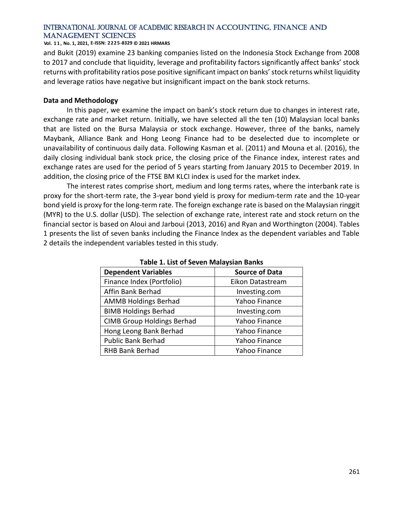#### **Vol. 1 1 , No. 1, 2021, E-ISSN: 2225-8329 © 2021 HRMARS**

and Bukit (2019) examine 23 banking companies listed on the Indonesia Stock Exchange from 2008 to 2017 and conclude that liquidity, leverage and profitability factors significantly affect banks' stock returns with profitability ratios pose positive significant impact on banks' stock returns whilst liquidity and leverage ratios have negative but insignificant impact on the bank stock returns.

#### **Data and Methodology**

In this paper, we examine the impact on bank's stock return due to changes in interest rate, exchange rate and market return. Initially, we have selected all the ten (10) Malaysian local banks that are listed on the Bursa Malaysia or stock exchange. However, three of the banks, namely Maybank, Alliance Bank and Hong Leong Finance had to be deselected due to incomplete or unavailability of continuous daily data. Following Kasman et al. (2011) and Mouna et al. (2016), the daily closing individual bank stock price, the closing price of the Finance index, interest rates and exchange rates are used for the period of 5 years starting from January 2015 to December 2019. In addition, the closing price of the FTSE BM KLCI index is used for the market index.

The interest rates comprise short, medium and long terms rates, where the interbank rate is proxy for the short-term rate, the 3-year bond yield is proxy for medium-term rate and the 10-year bond yield is proxy for the long-term rate. The foreign exchange rate is based on the Malaysian ringgit (MYR) to the U.S. dollar (USD). The selection of exchange rate, interest rate and stock return on the financial sector is based on Aloui and Jarboui (2013, 2016) and Ryan and Worthington (2004). Tables 1 presents the list of seven banks including the Finance Index as the dependent variables and Table 2 details the independent variables tested in this study.

| Table 1. List of Seven Malaysian Baliks |                       |  |  |  |  |
|-----------------------------------------|-----------------------|--|--|--|--|
| <b>Dependent Variables</b>              | <b>Source of Data</b> |  |  |  |  |
| Finance Index (Portfolio)               | Eikon Datastream      |  |  |  |  |
| Affin Bank Berhad                       | Investing.com         |  |  |  |  |
| <b>AMMB Holdings Berhad</b>             | Yahoo Finance         |  |  |  |  |
| <b>BIMB Holdings Berhad</b>             | Investing.com         |  |  |  |  |
| <b>CIMB Group Holdings Berhad</b>       | Yahoo Finance         |  |  |  |  |
| Hong Leong Bank Berhad                  | Yahoo Finance         |  |  |  |  |
| <b>Public Bank Berhad</b>               | Yahoo Finance         |  |  |  |  |
| RHB Bank Berhad                         | Yahoo Finance         |  |  |  |  |

**Table 1. List of Seven Malaysian Banks**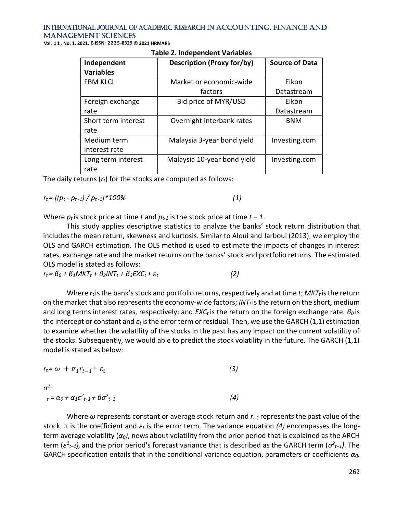**Vol. 1 1 , No. 1, 2021, E-ISSN: 2225-8329 © 2021 HRMARS**

| Independent         | <b>Description (Proxy for/by)</b> | <b>Source of Data</b> |  |  |  |  |  |
|---------------------|-----------------------------------|-----------------------|--|--|--|--|--|
| <b>Variables</b>    |                                   |                       |  |  |  |  |  |
| <b>FBM KLCI</b>     | Market or economic-wide           | Eikon                 |  |  |  |  |  |
|                     | factors                           | Datastream            |  |  |  |  |  |
| Foreign exchange    | Bid price of MYR/USD              | Eikon                 |  |  |  |  |  |
| rate                |                                   | Datastream            |  |  |  |  |  |
| Short term interest | Overnight interbank rates         | <b>BNM</b>            |  |  |  |  |  |
| rate                |                                   |                       |  |  |  |  |  |
| Medium term         | Malaysia 3-year bond yield        | Investing.com         |  |  |  |  |  |
| interest rate       |                                   |                       |  |  |  |  |  |
| Long term interest  | Malaysia 10-year bond yield       | Investing.com         |  |  |  |  |  |
| rate                |                                   |                       |  |  |  |  |  |

#### **Table 2. Independent Variables**

The daily returns (*rt*) for the stocks are computed as follows:

 $r_t = \left[ (p_t - p_{t-1}) / p_{t-1} \right]^* 100\%$  (1)

Where  $p_t$  is stock price at time t and  $p_{t-1}$  is the stock price at time  $t-1$ .

This study applies descriptive statistics to analyze the banks' stock return distribution that includes the mean return, skewness and kurtosis. Similar to Aloui and Jarboui (2013), we employ the OLS and GARCH estimation. The OLS method is used to estimate the impacts of changes in interest rates, exchange rate and the market returns on the banks' stock and portfolio returns. The estimated OLS model is stated as follows:

*rt = β<sup>0</sup> + β1MKT<sup>t</sup> + β2INT<sup>t</sup> + β3EXCt + εt (2)*

Where *rt* is the bank's stock and portfolio returns, respectively and at time *t*; *MKT<sup>t</sup>* is the return on the market that also represents the economy-wide factors; *INT* $<sub>t</sub>$  is the return on the short, medium</sub> and long terms interest rates, respectively; and *EXC<sup>t</sup>* is the return on the foreign exchange rate. *β<sup>0</sup>* is the intercept or constant and *ε<sup>t</sup>* is the error term or residual. Then, we use the GARCH (1,1) estimation to examine whether the volatility of the stocks in the past has any impact on the current volatility of the stocks. Subsequently, we would able to predict the stock volatility in the future. The GARCH (1,1) model is stated as below:

| $r_t = \omega + \pi_1 r_{t-1} + \varepsilon_t$ | (3) |
|------------------------------------------------|-----|
| $\sigma^2$                                     |     |

*<sup>t</sup> = α<sup>0</sup> + α1ε 2 t−1 + βσ<sup>2</sup> t−1 (4)*

Where *ω* represents constant or average stock return and *rt-1* represents the past value of the stock, π is the coefficient and *ε<sup>t</sup>* is the error term*.* The variance equation *(4)* encompasses the longterm average volatility (*α0)*, news about volatility from the prior period that is explained as the ARCH term (ε<sup>2</sup><sub>t−1</sub>), and the prior period's forecast variance that is described as the GARCH term (σ<sup>2</sup><sub>t−1</sub>). The GARCH specification entails that in the conditional variance equation, parameters or coefficients *α0,*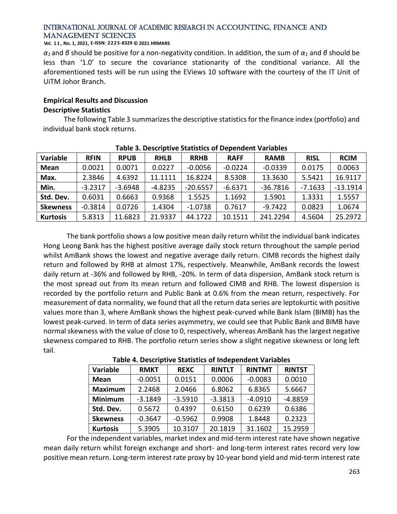#### **Vol. 1 1 , No. 1, 2021, E-ISSN: 2225-8329 © 2021 HRMARS**

*α1* and *β* should be positive for a non-negativity condition. In addition, the sum of *α<sup>1</sup>* and *β* should be less than '1.0' to secure the covariance stationarity of the conditional variance. All the aforementioned tests will be run using the EViews 10 software with the courtesy of the IT Unit of UiTM Johor Branch.

# **Empirical Results and Discussion Descriptive Statistics**

The following Table 3 summarizes the descriptive statistics for the finance index (portfolio) and individual bank stock returns.

| Variable        | <b>RFIN</b> | <b>RPUB</b> | <b>RHLB</b> | <b>RRHB</b> | <b>RAFF</b> | <b>RAMB</b> | <b>RISL</b> | <b>RCIM</b> |
|-----------------|-------------|-------------|-------------|-------------|-------------|-------------|-------------|-------------|
| <b>Mean</b>     | 0.0021      | 0.0071      | 0.0227      | $-0.0056$   | $-0.0224$   | $-0.0339$   | 0.0175      | 0.0063      |
| Max.            | 2.3846      | 4.6392      | 11.1111     | 16.8224     | 8.5308      | 13.3630     | 5.5421      | 16.9117     |
| Min.            | $-3.2317$   | $-3.6948$   | $-4.8235$   | $-20.6557$  | $-6.6371$   | $-36.7816$  | $-7.1633$   | $-13.1914$  |
| Std. Dev.       | 0.6031      | 0.6663      | 0.9368      | 1.5525      | 1.1692      | 1.5901      | 1.3331      | 1.5557      |
| <b>Skewness</b> | $-0.3814$   | 0.0726      | 1.4304      | $-1.0738$   | 0.7617      | $-9.7422$   | 0.0823      | 1.0674      |
| <b>Kurtosis</b> | 5.8313      | 11.6823     | 21.9337     | 44.1722     | 10.1511     | 241.2294    | 4.5604      | 25.2972     |

# **Table 3. Descriptive Statistics of Dependent Variables**

The bank portfolio shows a low positive mean daily return whilst the individual bank indicates Hong Leong Bank has the highest positive average daily stock return throughout the sample period whilst AmBank shows the lowest and negative average daily return. CIMB records the highest daily return and followed by RHB at almost 17%, respectively. Meanwhile, AmBank records the lowest daily return at -36% and followed by RHB, -20%. In term of data dispersion, AmBank stock return is the most spread out from its mean return and followed CIMB and RHB. The lowest dispersion is recorded by the portfolio return and Public Bank at 0.6% from the mean return, respectively. For measurement of data normality, we found that all the return data series are leptokurtic with positive values more than 3, where AmBank shows the highest peak-curved while Bank Islam (BIMB) has the lowest peak-curved. In term of data series asymmetry, we could see that Public Bank and BIMB have normal skewness with the value of close to 0, respectively, whereas AmBank has the largest negative skewness compared to RHB. The portfolio return series show a slight negative skewness or long left tail.

**Table 4. Descriptive Statistics of Independent Variables**

| Variable        | <b>RMKT</b> | <b>REXC</b> | <b>RINTLT</b> | <b>RINTMT</b> | <b>RINTST</b> |
|-----------------|-------------|-------------|---------------|---------------|---------------|
| Mean            | $-0.0051$   | 0.0151      | 0.0006        | $-0.0083$     | 0.0010        |
| <b>Maximum</b>  | 2.2468      | 2.0466      | 6.8062        | 6.8365        | 5.6667        |
| <b>Minimum</b>  | $-3.1849$   | $-3.5910$   | $-3.3813$     | $-4.0910$     | $-4.8859$     |
| Std. Dev.       | 0.5672      | 0.4397      | 0.6150        | 0.6239        | 0.6386        |
| <b>Skewness</b> | $-0.3647$   | $-0.5962$   | 0.9908        | 1.8448        | 0.2323        |
| <b>Kurtosis</b> | 5.3905      | 10.3107     | 20.1819       | 31.1602       | 15.2959       |

For the independent variables, market index and mid-term interest rate have shown negative mean daily return whilst foreign exchange and short- and long-term interest rates record very low positive mean return. Long-term interest rate proxy by 10-year bond yield and mid-term interest rate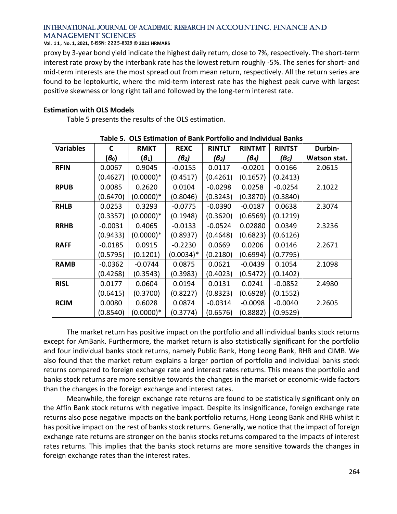#### **Vol. 1 1 , No. 1, 2021, E-ISSN: 2225-8329 © 2021 HRMARS**

proxy by 3-year bond yield indicate the highest daily return, close to 7%, respectively. The short-term interest rate proxy by the interbank rate has the lowest return roughly -5%. The series for short- and mid-term interests are the most spread out from mean return, respectively. All the return series are found to be leptokurtic, where the mid-term interest rate has the highest peak curve with largest positive skewness or long right tail and followed by the long-term interest rate.

#### **Estimation with OLS Models**

Table 5 presents the results of the OLS estimation.

| Table 5.  OLS Estimation of Bank Portfolio and Individual Banks |           |                   |             |               |               |               |              |
|-----------------------------------------------------------------|-----------|-------------------|-------------|---------------|---------------|---------------|--------------|
| <b>Variables</b>                                                | C         | <b>RMKT</b>       | <b>REXC</b> | <b>RINTLT</b> | <b>RINTMT</b> | <b>RINTST</b> | Durbin-      |
|                                                                 | $(6_0)$   | $(\mathcal{B}_1)$ | $(6_2)$     | (B3)          | $(6_4)$       | $(B_5)$       | Watson stat. |
| <b>RFIN</b>                                                     | 0.0067    | 0.9045            | $-0.0155$   | 0.0117        | $-0.0201$     | 0.0166        | 2.0615       |
|                                                                 | (0.4627)  | $(0.0000)*$       | (0.4517)    | (0.4261)      | (0.1657)      | (0.2413)      |              |
| <b>RPUB</b>                                                     | 0.0085    | 0.2620            | 0.0104      | $-0.0298$     | 0.0258        | $-0.0254$     | 2.1022       |
|                                                                 | (0.6470)  | $(0.0000)*$       | (0.8046)    | (0.3243)      | (0.3870)      | (0.3840)      |              |
| <b>RHLB</b>                                                     | 0.0253    | 0.3293            | $-0.0775$   | $-0.0390$     | $-0.0187$     | 0.0638        | 2.3074       |
|                                                                 | (0.3357)  | $(0.0000)*$       | (0.1948)    | (0.3620)      | (0.6569)      | (0.1219)      |              |
| <b>RRHB</b>                                                     | $-0.0031$ | 0.4065            | $-0.0133$   | $-0.0524$     | 0.02880       | 0.0349        | 2.3236       |
|                                                                 | (0.9433)  | $(0.0000)*$       | (0.8937)    | (0.4648)      | (0.6823)      | (0.6126)      |              |
| <b>RAFF</b>                                                     | $-0.0185$ | 0.0915            | $-0.2230$   | 0.0669        | 0.0206        | 0.0146        | 2.2671       |
|                                                                 | (0.5795)  | (0.1201)          | $(0.0034)*$ | (0.2180)      | (0.6994)      | (0.7795)      |              |
| <b>RAMB</b>                                                     | $-0.0362$ | $-0.0744$         | 0.0875      | 0.0621        | $-0.0439$     | 0.1054        | 2.1098       |
|                                                                 | (0.4268)  | (0.3543)          | (0.3983)    | (0.4023)      | (0.5472)      | (0.1402)      |              |
| <b>RISL</b>                                                     | 0.0177    | 0.0604            | 0.0194      | 0.0131        | 0.0241        | $-0.0852$     | 2.4980       |
|                                                                 | (0.6415)  | (0.3700)          | (0.8227)    | (0.8323)      | (0.6928)      | (0.1552)      |              |
| <b>RCIM</b>                                                     | 0.0080    | 0.6028            | 0.0874      | $-0.0314$     | $-0.0098$     | $-0.0040$     | 2.2605       |
|                                                                 | (0.8540)  | $(0.0000)*$       | (0.3774)    | (0.6576)      | (0.8882)      | (0.9529)      |              |

**Table 5. OLS Estimation of Bank Portfolio and Individual Banks**

The market return has positive impact on the portfolio and all individual banks stock returns except for AmBank. Furthermore, the market return is also statistically significant for the portfolio and four individual banks stock returns, namely Public Bank, Hong Leong Bank, RHB and CIMB. We also found that the market return explains a larger portion of portfolio and individual banks stock returns compared to foreign exchange rate and interest rates returns. This means the portfolio and banks stock returns are more sensitive towards the changes in the market or economic-wide factors than the changes in the foreign exchange and interest rates.

Meanwhile, the foreign exchange rate returns are found to be statistically significant only on the Affin Bank stock returns with negative impact. Despite its insignificance, foreign exchange rate returns also pose negative impacts on the bank portfolio returns, Hong Leong Bank and RHB whilst it has positive impact on the rest of banks stock returns. Generally, we notice that the impact of foreign exchange rate returns are stronger on the banks stocks returns compared to the impacts of interest rates returns. This implies that the banks stock returns are more sensitive towards the changes in foreign exchange rates than the interest rates.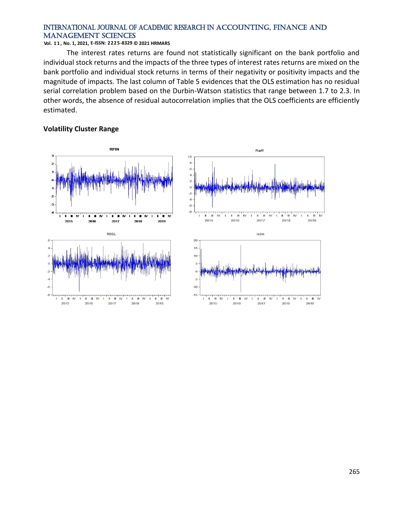#### **Vol. 1 1 , No. 1, 2021, E-ISSN: 2225-8329 © 2021 HRMARS**

The interest rates returns are found not statistically significant on the bank portfolio and individual stock returns and the impacts of the three types of interest rates returns are mixed on the bank portfolio and individual stock returns in terms of their negativity or positivity impacts and the magnitude of impacts. The last column of Table 5 evidences that the OLS estimation has no residual serial correlation problem based on the Durbin-Watson statistics that range between 1.7 to 2.3. In other words, the absence of residual autocorrelation implies that the OLS coefficients are efficiently estimated.

#### **Volatility Cluster Range**



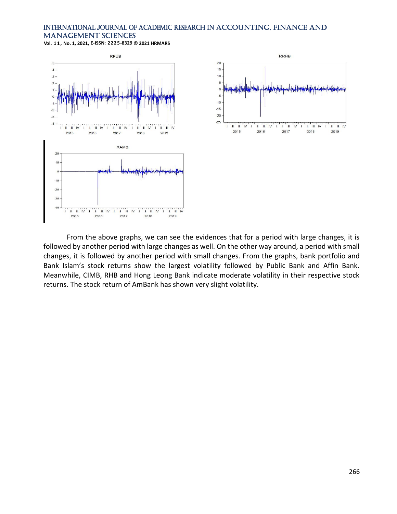**Vol. 1 1 , No. 1, 2021, E-ISSN: 2225-8329 © 2021 HRMARS**





From the above graphs, we can see the evidences that for a period with large changes, it is followed by another period with large changes as well. On the other way around, a period with small changes, it is followed by another period with small changes. From the graphs, bank portfolio and Bank Islam's stock returns show the largest volatility followed by Public Bank and Affin Bank. Meanwhile, CIMB, RHB and Hong Leong Bank indicate moderate volatility in their respective stock returns. The stock return of AmBank has shown very slight volatility.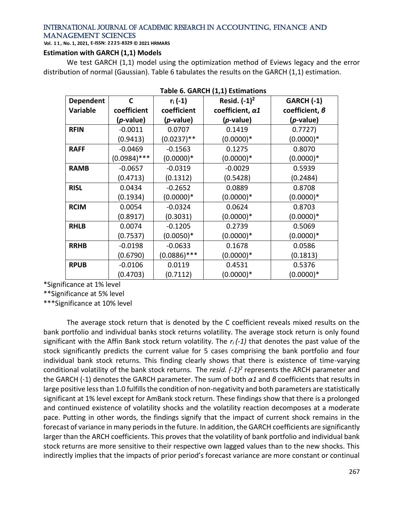**Vol. 1 1 , No. 1, 2021, E-ISSN: 2225-8329 © 2021 HRMARS**

# **Estimation with GARCH (1,1) Models**

We test GARCH (1,1) model using the optimization method of Eviews legacy and the error distribution of normal (Gaussian). Table 6 tabulates the results on the GARCH (1,1) estimation.

|                 | rable of GARCH (1,1) Estimations |                |                         |                       |  |  |  |
|-----------------|----------------------------------|----------------|-------------------------|-----------------------|--|--|--|
| Dependent       | C                                | $r_i(-1)$      | Resid. $(-1)^2$         | <b>GARCH (-1)</b>     |  |  |  |
| <b>Variable</b> | coefficient                      | coefficient    | coefficient, $\alpha$ 1 | coefficient, $\theta$ |  |  |  |
|                 | ( <i>p</i> -value)               | $(p$ -value)   | ( <i>p</i> -value)      | (p-value)             |  |  |  |
| <b>RFIN</b>     | $-0.0011$                        | 0.0707         | 0.1419                  | 0.7727)               |  |  |  |
|                 | (0.9413)                         | $(0.0237)$ **  | $(0.0000)*$             | $(0.0000)*$           |  |  |  |
| <b>RAFF</b>     | $-0.0469$                        | $-0.1563$      | 0.1275                  | 0.8070                |  |  |  |
|                 | $(0.0984)$ ***                   | $(0.0000)*$    | $(0.0000)*$             | $(0.0000)*$           |  |  |  |
| <b>RAMB</b>     | $-0.0657$                        | $-0.0319$      | $-0.0029$               | 0.5939                |  |  |  |
|                 | (0.4713)                         | (0.1312)       | (0.5428)                | (0.2484)              |  |  |  |
| <b>RISL</b>     | 0.0434                           | $-0.2652$      | 0.0889                  | 0.8708                |  |  |  |
|                 | (0.1934)                         | $(0.0000)*$    | $(0.0000)*$             | $(0.0000)*$           |  |  |  |
| <b>RCIM</b>     | 0.0054                           | $-0.0324$      | 0.0624                  | 0.8703                |  |  |  |
|                 | (0.8917)                         | (0.3031)       | $(0.0000)*$             | $(0.0000)*$           |  |  |  |
| <b>RHLB</b>     | 0.0074                           | $-0.1205$      | 0.2739                  | 0.5069                |  |  |  |
|                 | (0.7537)                         | $(0.0050)*$    | $(0.0000)*$             | $(0.0000)*$           |  |  |  |
| <b>RRHB</b>     | $-0.0198$                        | $-0.0633$      | 0.1678                  | 0.0586                |  |  |  |
|                 | (0.6790)                         | $(0.0886)$ *** | $(0.0000)*$             | (0.1813)              |  |  |  |
| <b>RPUB</b>     | $-0.0106$                        | 0.0119         | 0.4531                  | 0.5376                |  |  |  |
|                 | (0.4703)                         | (0.7112)       | $(0.0000)*$             | $(0.0000)*$           |  |  |  |

**Table 6. GARCH (1,1) Estimations**

\*Significance at 1% level

\*\*Significance at 5% level

\*\*\*Significance at 10% level

The average stock return that is denoted by the C coefficient reveals mixed results on the bank portfolio and individual banks stock returns volatility. The average stock return is only found significant with the Affin Bank stock return volatility. The *ri (-1)* that denotes the past value of the stock significantly predicts the current value for 5 cases comprising the bank portfolio and four individual bank stock returns. This finding clearly shows that there is existence of time-varying conditional volatility of the bank stock returns. The *resid. (-1)<sup>2</sup>* represents the ARCH parameter and the GARCH (-1) denotes the GARCH parameter. The sum of both *α1* and *β* coefficients that results in large positive less than 1.0 fulfills the condition of non-negativity and both parameters are statistically significant at 1% level except for AmBank stock return. These findings show that there is a prolonged and continued existence of volatility shocks and the volatility reaction decomposes at a moderate pace. Putting in other words, the findings signify that the impact of current shock remains in the forecast of variance in many periods in the future. In addition, the GARCH coefficients are significantly larger than the ARCH coefficients. This proves that the volatility of bank portfolio and individual bank stock returns are more sensitive to their respective own lagged values than to the new shocks. This indirectly implies that the impacts of prior period's forecast variance are more constant or continual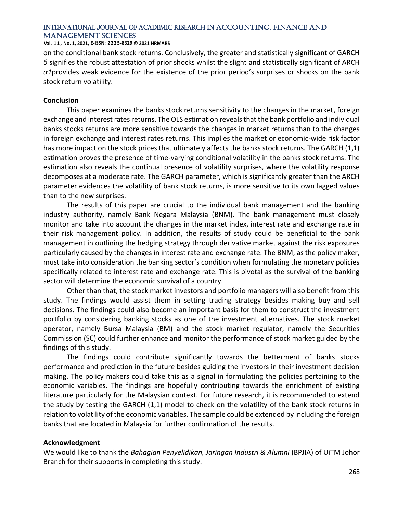#### **Vol. 1 1 , No. 1, 2021, E-ISSN: 2225-8329 © 2021 HRMARS**

on the conditional bank stock returns. Conclusively, the greater and statistically significant of GARCH *β* signifies the robust attestation of prior shocks whilst the slight and statistically significant of ARCH *α1*provides weak evidence for the existence of the prior period's surprises or shocks on the bank stock return volatility.

#### **Conclusion**

This paper examines the banks stock returns sensitivity to the changes in the market, foreign exchange and interest rates returns. The OLS estimation reveals that the bank portfolio and individual banks stocks returns are more sensitive towards the changes in market returns than to the changes in foreign exchange and interest rates returns. This implies the market or economic-wide risk factor has more impact on the stock prices that ultimately affects the banks stock returns. The GARCH (1,1) estimation proves the presence of time-varying conditional volatility in the banks stock returns. The estimation also reveals the continual presence of volatility surprises, where the volatility response decomposes at a moderate rate. The GARCH parameter, which is significantly greater than the ARCH parameter evidences the volatility of bank stock returns, is more sensitive to its own lagged values than to the new surprises.

The results of this paper are crucial to the individual bank management and the banking industry authority, namely Bank Negara Malaysia (BNM). The bank management must closely monitor and take into account the changes in the market index, interest rate and exchange rate in their risk management policy. In addition, the results of study could be beneficial to the bank management in outlining the hedging strategy through derivative market against the risk exposures particularly caused by the changes in interest rate and exchange rate. The BNM, as the policy maker, must take into consideration the banking sector's condition when formulating the monetary policies specifically related to interest rate and exchange rate. This is pivotal as the survival of the banking sector will determine the economic survival of a country.

Other than that, the stock market investors and portfolio managers will also benefit from this study. The findings would assist them in setting trading strategy besides making buy and sell decisions. The findings could also become an important basis for them to construct the investment portfolio by considering banking stocks as one of the investment alternatives. The stock market operator, namely Bursa Malaysia (BM) and the stock market regulator, namely the Securities Commission (SC) could further enhance and monitor the performance of stock market guided by the findings of this study.

The findings could contribute significantly towards the betterment of banks stocks performance and prediction in the future besides guiding the investors in their investment decision making. The policy makers could take this as a signal in formulating the policies pertaining to the economic variables. The findings are hopefully contributing towards the enrichment of existing literature particularly for the Malaysian context. For future research, it is recommended to extend the study by testing the GARCH (1,1) model to check on the volatility of the bank stock returns in relation to volatility of the economic variables. The sample could be extended by including the foreign banks that are located in Malaysia for further confirmation of the results.

#### **Acknowledgment**

We would like to thank the *Bahagian Penyelidikan, Jaringan Industri & Alumni* (BPJIA) of UiTM Johor Branch for their supports in completing this study.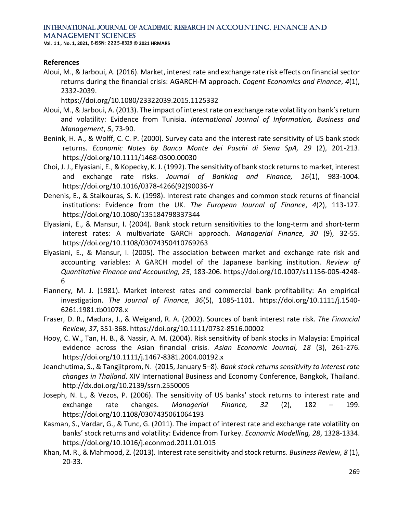**Vol. 1 1 , No. 1, 2021, E-ISSN: 2225-8329 © 2021 HRMARS**

#### **References**

Aloui, M., & Jarboui, A. (2016). Market, interest rate and exchange rate risk effects on financial sector returns during the financial crisis: AGARCH-M approach. *Cogent Economics and Finance*, *4*(1), 2332-2039.

https://doi.org/10.1080/23322039.2015.1125332

- Aloui, M., & Jarboui, A. (2013). The impact of interest rate on exchange rate volatility on bank's return and volatility: Evidence from Tunisia. *International Journal of Information, Business and Management*, *5*, 73-90.
- Benink, H. A., & Wolff, C. C. P. (2000). Survey data and the interest rate sensitivity of US bank stock returns. *Economic Notes by Banca Monte dei Paschi di Siena SpA, 29* (2), 201-213. https://doi.org/10.1111/1468-0300.00030
- Choi, J. J., Elyasiani, E., & Kopecky, K. J. (1992). The sensitivity of bank stock returns to market, interest and exchange rate risks. *Journal of Banking and Finance, 16*(1), 983-1004. https://doi.org/10.1016/0378-4266(92)90036-Y
- Denenis, E., & Staikouras, S. K. (1998). Interest rate changes and common stock returns of financial institutions: Evidence from the UK. *The European Journal of Finance*, *4*(2), 113-127. https://doi.org/10.1080/135184798337344
- Elyasiani, E., & Mansur, I. (2004). Bank stock return sensitivities to the long-term and short-term interest rates: A multivariate GARCH approach. *Managerial Finance, 30* (9), 32-55. https://doi.org/10.1108/03074350410769263
- Elyasiani, E., & Mansur, I. (2005). The association between market and exchange rate risk and accounting variables: A GARCH model of the Japanese banking institution. *Review of Quantitative Finance and Accounting, 25*, 183-206. https://doi.org/10.1007/s11156-005-4248- 6
- Flannery, M. J. (1981). Market interest rates and commercial bank profitability: An empirical investigation. *The Journal of Finance, 36*(5), 1085-1101. https://doi.org/10.1111/j.1540- 6261.1981.tb01078.x
- Fraser, D. R., Madura, J., & Weigand, R. A. (2002). Sources of bank interest rate risk. *The Financial Review*, *37*, 351-368. https://doi.org/10.1111/0732-8516.00002
- Hooy, C. W., Tan, H. B., & Nassir, A. M. (2004). Risk sensitivity of bank stocks in Malaysia: Empirical evidence across the Asian financial crisis. *Asian Economic Journal, 18* (3), 261-276. https://doi.org/10.1111/j.1467-8381.2004.00192.x
- Jeanchutima, S., & Tangjitprom, N. (2015, January 5–8). *Bank stock returns sensitivity to interest rate changes in Thailand*. XIV International Business and Economy Conference, Bangkok, Thailand. http://dx.doi.org/10.2139/ssrn.2550005
- Joseph, N. L., & Vezos, P. (2006). The sensitivity of US banks' stock returns to interest rate and exchange rate changes. *Managerial Finance, 32* (2), 182 – 199. https://doi.org/10.1108/0307435061064193
- Kasman, S., Vardar, G., & Tunc, G. (2011). The impact of interest rate and exchange rate volatility on banks' stock returns and volatility: Evidence from Turkey. *Economic Modelling, 28*, 1328-1334. https://doi.org/10.1016/j.econmod.2011.01.015
- Khan, M. R., & Mahmood, Z. (2013). Interest rate sensitivity and stock returns. *Business Review, 8* (1), 20-33.